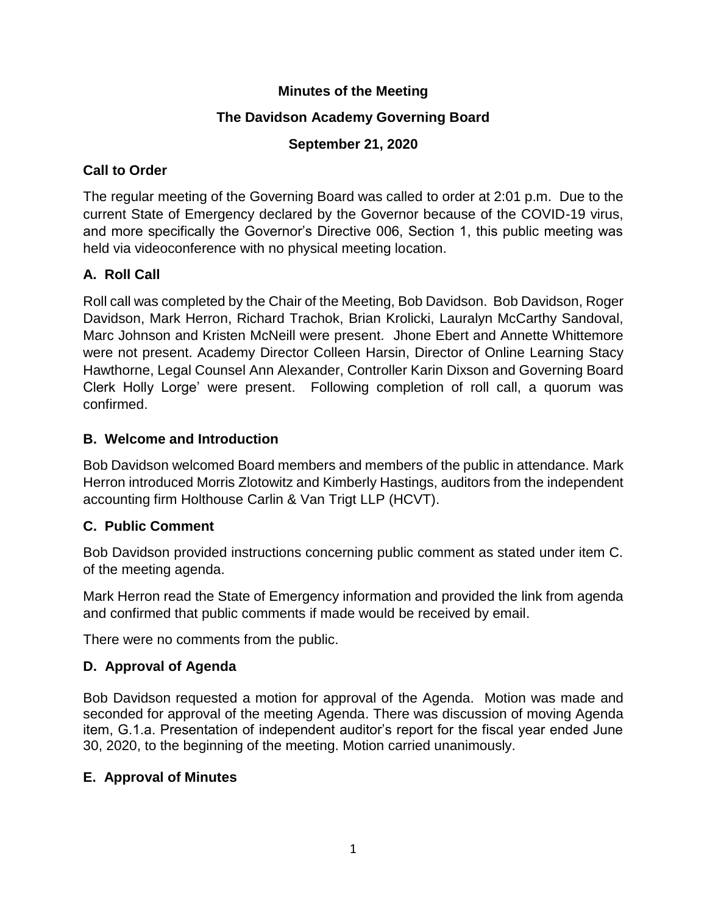## **Minutes of the Meeting**

## **The Davidson Academy Governing Board**

## **September 21, 2020**

## **Call to Order**

The regular meeting of the Governing Board was called to order at 2:01 p.m. Due to the current State of Emergency declared by the Governor because of the COVID-19 virus, and more specifically the Governor's Directive 006, Section 1, this public meeting was held via videoconference with no physical meeting location.

# **A. Roll Call**

Roll call was completed by the Chair of the Meeting, Bob Davidson. Bob Davidson, Roger Davidson, Mark Herron, Richard Trachok, Brian Krolicki, Lauralyn McCarthy Sandoval, Marc Johnson and Kristen McNeill were present. Jhone Ebert and Annette Whittemore were not present. Academy Director Colleen Harsin, Director of Online Learning Stacy Hawthorne, Legal Counsel Ann Alexander, Controller Karin Dixson and Governing Board Clerk Holly Lorge' were present. Following completion of roll call, a quorum was confirmed.

## **B. Welcome and Introduction**

Bob Davidson welcomed Board members and members of the public in attendance. Mark Herron introduced Morris Zlotowitz and Kimberly Hastings, auditors from the independent accounting firm Holthouse Carlin & Van Trigt LLP (HCVT).

# **C. Public Comment**

Bob Davidson provided instructions concerning public comment as stated under item C. of the meeting agenda.

Mark Herron read the State of Emergency information and provided the link from agenda and confirmed that public comments if made would be received by email.

There were no comments from the public.

# **D. Approval of Agenda**

Bob Davidson requested a motion for approval of the Agenda. Motion was made and seconded for approval of the meeting Agenda. There was discussion of moving Agenda item, G.1.a. Presentation of independent auditor's report for the fiscal year ended June 30, 2020, to the beginning of the meeting. Motion carried unanimously.

#### **E. Approval of Minutes**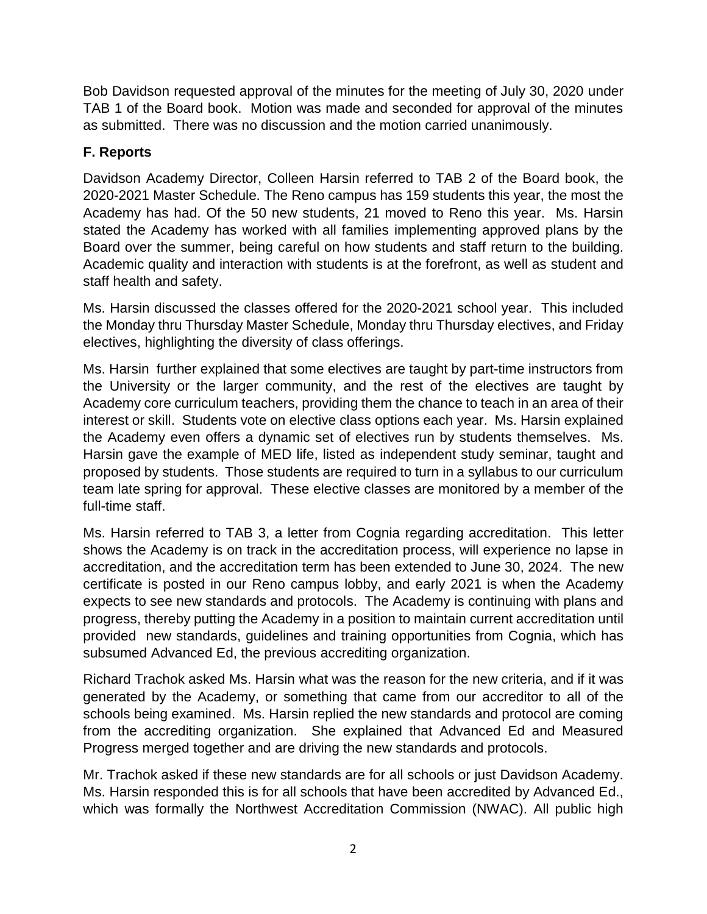Bob Davidson requested approval of the minutes for the meeting of July 30, 2020 under TAB 1 of the Board book. Motion was made and seconded for approval of the minutes as submitted. There was no discussion and the motion carried unanimously.

# **F. Reports**

Davidson Academy Director, Colleen Harsin referred to TAB 2 of the Board book, the 2020-2021 Master Schedule. The Reno campus has 159 students this year, the most the Academy has had. Of the 50 new students, 21 moved to Reno this year. Ms. Harsin stated the Academy has worked with all families implementing approved plans by the Board over the summer, being careful on how students and staff return to the building. Academic quality and interaction with students is at the forefront, as well as student and staff health and safety.

Ms. Harsin discussed the classes offered for the 2020-2021 school year. This included the Monday thru Thursday Master Schedule, Monday thru Thursday electives, and Friday electives, highlighting the diversity of class offerings.

Ms. Harsin further explained that some electives are taught by part-time instructors from the University or the larger community, and the rest of the electives are taught by Academy core curriculum teachers, providing them the chance to teach in an area of their interest or skill. Students vote on elective class options each year. Ms. Harsin explained the Academy even offers a dynamic set of electives run by students themselves. Ms. Harsin gave the example of MED life, listed as independent study seminar, taught and proposed by students. Those students are required to turn in a syllabus to our curriculum team late spring for approval. These elective classes are monitored by a member of the full-time staff.

Ms. Harsin referred to TAB 3, a letter from Cognia regarding accreditation. This letter shows the Academy is on track in the accreditation process, will experience no lapse in accreditation, and the accreditation term has been extended to June 30, 2024. The new certificate is posted in our Reno campus lobby, and early 2021 is when the Academy expects to see new standards and protocols. The Academy is continuing with plans and progress, thereby putting the Academy in a position to maintain current accreditation until provided new standards, guidelines and training opportunities from Cognia, which has subsumed Advanced Ed, the previous accrediting organization.

Richard Trachok asked Ms. Harsin what was the reason for the new criteria, and if it was generated by the Academy, or something that came from our accreditor to all of the schools being examined. Ms. Harsin replied the new standards and protocol are coming from the accrediting organization. She explained that Advanced Ed and Measured Progress merged together and are driving the new standards and protocols.

Mr. Trachok asked if these new standards are for all schools or just Davidson Academy. Ms. Harsin responded this is for all schools that have been accredited by Advanced Ed., which was formally the Northwest Accreditation Commission (NWAC). All public high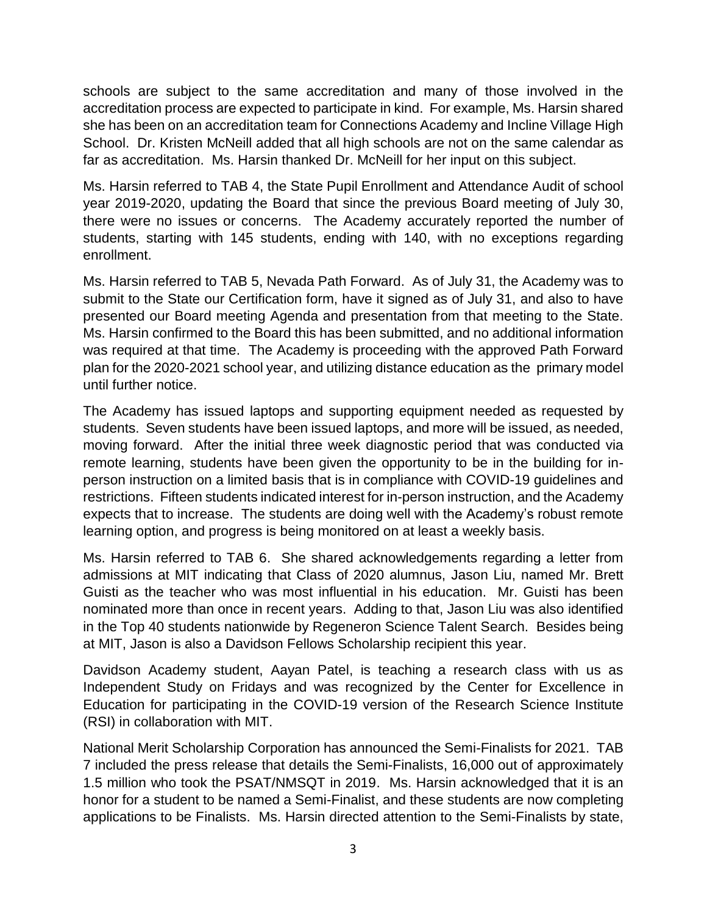schools are subject to the same accreditation and many of those involved in the accreditation process are expected to participate in kind. For example, Ms. Harsin shared she has been on an accreditation team for Connections Academy and Incline Village High School. Dr. Kristen McNeill added that all high schools are not on the same calendar as far as accreditation. Ms. Harsin thanked Dr. McNeill for her input on this subject.

Ms. Harsin referred to TAB 4, the State Pupil Enrollment and Attendance Audit of school year 2019-2020, updating the Board that since the previous Board meeting of July 30, there were no issues or concerns. The Academy accurately reported the number of students, starting with 145 students, ending with 140, with no exceptions regarding enrollment.

Ms. Harsin referred to TAB 5, Nevada Path Forward. As of July 31, the Academy was to submit to the State our Certification form, have it signed as of July 31, and also to have presented our Board meeting Agenda and presentation from that meeting to the State. Ms. Harsin confirmed to the Board this has been submitted, and no additional information was required at that time. The Academy is proceeding with the approved Path Forward plan for the 2020-2021 school year, and utilizing distance education as the primary model until further notice.

The Academy has issued laptops and supporting equipment needed as requested by students. Seven students have been issued laptops, and more will be issued, as needed, moving forward. After the initial three week diagnostic period that was conducted via remote learning, students have been given the opportunity to be in the building for inperson instruction on a limited basis that is in compliance with COVID-19 guidelines and restrictions. Fifteen students indicated interest for in-person instruction, and the Academy expects that to increase. The students are doing well with the Academy's robust remote learning option, and progress is being monitored on at least a weekly basis.

Ms. Harsin referred to TAB 6. She shared acknowledgements regarding a letter from admissions at MIT indicating that Class of 2020 alumnus, Jason Liu, named Mr. Brett Guisti as the teacher who was most influential in his education. Mr. Guisti has been nominated more than once in recent years. Adding to that, Jason Liu was also identified in the Top 40 students nationwide by Regeneron Science Talent Search. Besides being at MIT, Jason is also a Davidson Fellows Scholarship recipient this year.

Davidson Academy student, Aayan Patel, is teaching a research class with us as Independent Study on Fridays and was recognized by the Center for Excellence in Education for participating in the COVID-19 version of the Research Science Institute (RSI) in collaboration with MIT.

National Merit Scholarship Corporation has announced the Semi-Finalists for 2021. TAB 7 included the press release that details the Semi-Finalists, 16,000 out of approximately 1.5 million who took the PSAT/NMSQT in 2019. Ms. Harsin acknowledged that it is an honor for a student to be named a Semi-Finalist, and these students are now completing applications to be Finalists. Ms. Harsin directed attention to the Semi-Finalists by state,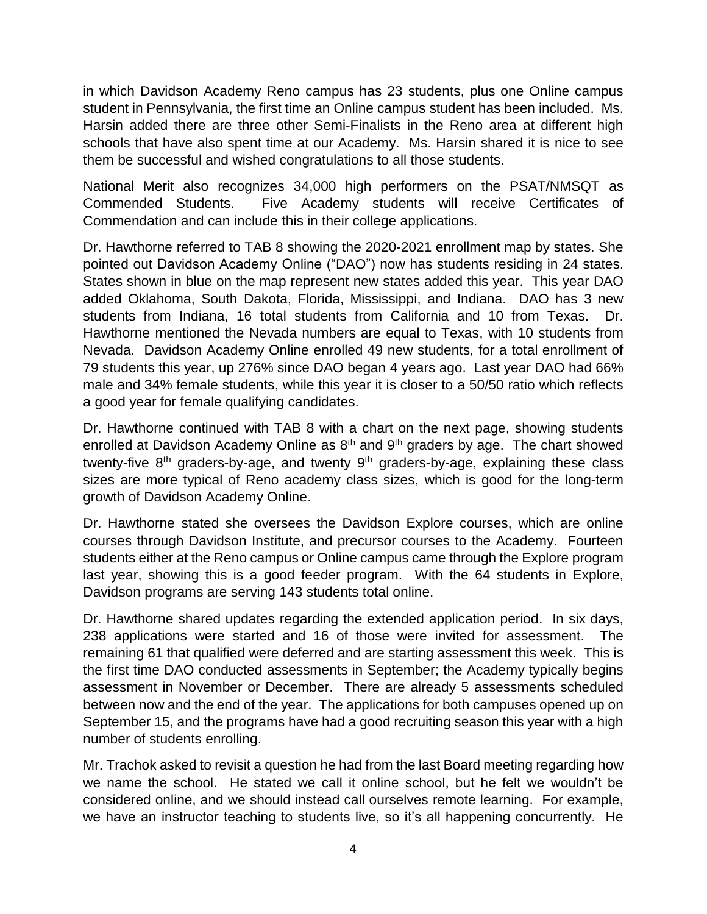in which Davidson Academy Reno campus has 23 students, plus one Online campus student in Pennsylvania, the first time an Online campus student has been included. Ms. Harsin added there are three other Semi-Finalists in the Reno area at different high schools that have also spent time at our Academy. Ms. Harsin shared it is nice to see them be successful and wished congratulations to all those students.

National Merit also recognizes 34,000 high performers on the PSAT/NMSQT as Commended Students. Five Academy students will receive Certificates of Commendation and can include this in their college applications.

Dr. Hawthorne referred to TAB 8 showing the 2020-2021 enrollment map by states. She pointed out Davidson Academy Online ("DAO") now has students residing in 24 states. States shown in blue on the map represent new states added this year. This year DAO added Oklahoma, South Dakota, Florida, Mississippi, and Indiana. DAO has 3 new students from Indiana, 16 total students from California and 10 from Texas. Dr. Hawthorne mentioned the Nevada numbers are equal to Texas, with 10 students from Nevada. Davidson Academy Online enrolled 49 new students, for a total enrollment of 79 students this year, up 276% since DAO began 4 years ago. Last year DAO had 66% male and 34% female students, while this year it is closer to a 50/50 ratio which reflects a good year for female qualifying candidates.

Dr. Hawthorne continued with TAB 8 with a chart on the next page, showing students enrolled at Davidson Academy Online as 8<sup>th</sup> and 9<sup>th</sup> graders by age. The chart showed twenty-five 8<sup>th</sup> graders-by-age, and twenty 9<sup>th</sup> graders-by-age, explaining these class sizes are more typical of Reno academy class sizes, which is good for the long-term growth of Davidson Academy Online.

Dr. Hawthorne stated she oversees the Davidson Explore courses, which are online courses through Davidson Institute, and precursor courses to the Academy. Fourteen students either at the Reno campus or Online campus came through the Explore program last year, showing this is a good feeder program. With the 64 students in Explore, Davidson programs are serving 143 students total online.

Dr. Hawthorne shared updates regarding the extended application period. In six days, 238 applications were started and 16 of those were invited for assessment. The remaining 61 that qualified were deferred and are starting assessment this week. This is the first time DAO conducted assessments in September; the Academy typically begins assessment in November or December. There are already 5 assessments scheduled between now and the end of the year. The applications for both campuses opened up on September 15, and the programs have had a good recruiting season this year with a high number of students enrolling.

Mr. Trachok asked to revisit a question he had from the last Board meeting regarding how we name the school. He stated we call it online school, but he felt we wouldn't be considered online, and we should instead call ourselves remote learning. For example, we have an instructor teaching to students live, so it's all happening concurrently. He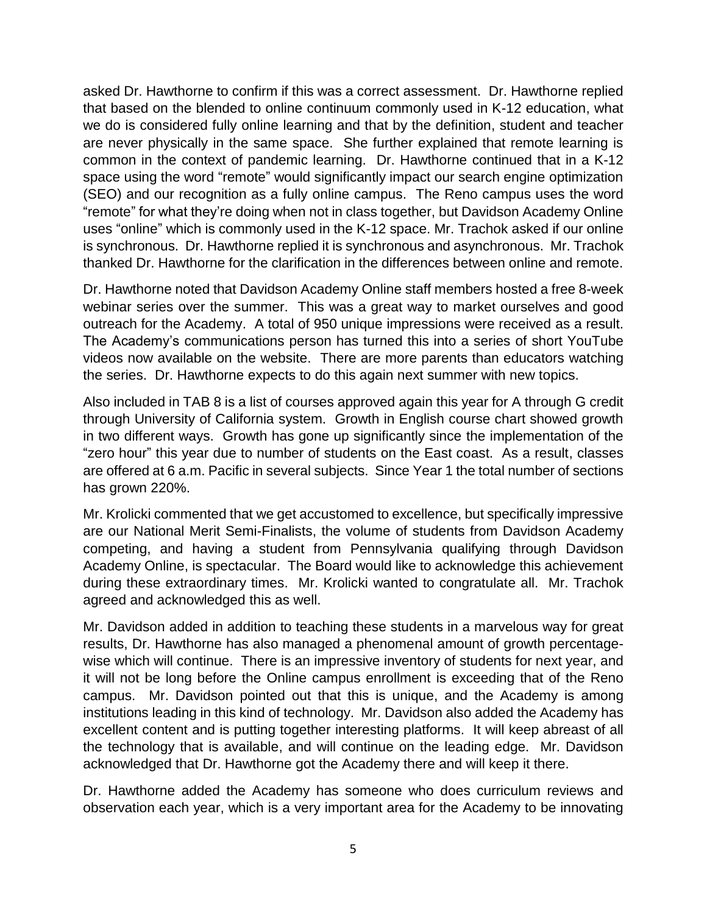asked Dr. Hawthorne to confirm if this was a correct assessment. Dr. Hawthorne replied that based on the blended to online continuum commonly used in K-12 education, what we do is considered fully online learning and that by the definition, student and teacher are never physically in the same space. She further explained that remote learning is common in the context of pandemic learning. Dr. Hawthorne continued that in a K-12 space using the word "remote" would significantly impact our search engine optimization (SEO) and our recognition as a fully online campus. The Reno campus uses the word "remote" for what they're doing when not in class together, but Davidson Academy Online uses "online" which is commonly used in the K-12 space. Mr. Trachok asked if our online is synchronous. Dr. Hawthorne replied it is synchronous and asynchronous. Mr. Trachok thanked Dr. Hawthorne for the clarification in the differences between online and remote.

Dr. Hawthorne noted that Davidson Academy Online staff members hosted a free 8-week webinar series over the summer. This was a great way to market ourselves and good outreach for the Academy. A total of 950 unique impressions were received as a result. The Academy's communications person has turned this into a series of short YouTube videos now available on the website. There are more parents than educators watching the series. Dr. Hawthorne expects to do this again next summer with new topics.

Also included in TAB 8 is a list of courses approved again this year for A through G credit through University of California system. Growth in English course chart showed growth in two different ways. Growth has gone up significantly since the implementation of the "zero hour" this year due to number of students on the East coast. As a result, classes are offered at 6 a.m. Pacific in several subjects. Since Year 1 the total number of sections has grown 220%.

Mr. Krolicki commented that we get accustomed to excellence, but specifically impressive are our National Merit Semi-Finalists, the volume of students from Davidson Academy competing, and having a student from Pennsylvania qualifying through Davidson Academy Online, is spectacular. The Board would like to acknowledge this achievement during these extraordinary times. Mr. Krolicki wanted to congratulate all. Mr. Trachok agreed and acknowledged this as well.

Mr. Davidson added in addition to teaching these students in a marvelous way for great results, Dr. Hawthorne has also managed a phenomenal amount of growth percentagewise which will continue. There is an impressive inventory of students for next year, and it will not be long before the Online campus enrollment is exceeding that of the Reno campus. Mr. Davidson pointed out that this is unique, and the Academy is among institutions leading in this kind of technology. Mr. Davidson also added the Academy has excellent content and is putting together interesting platforms. It will keep abreast of all the technology that is available, and will continue on the leading edge. Mr. Davidson acknowledged that Dr. Hawthorne got the Academy there and will keep it there.

Dr. Hawthorne added the Academy has someone who does curriculum reviews and observation each year, which is a very important area for the Academy to be innovating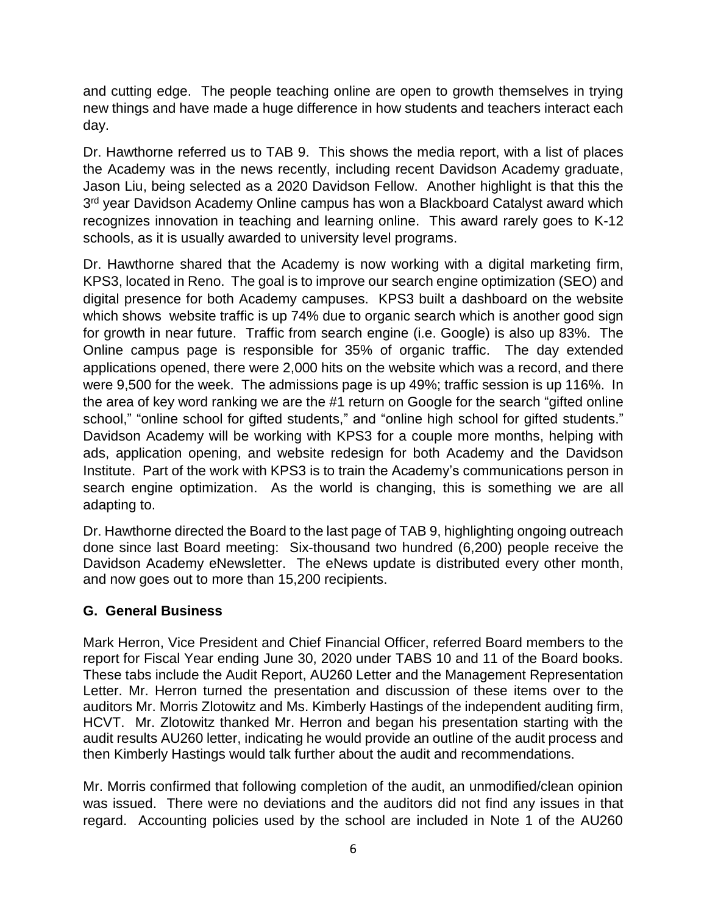and cutting edge. The people teaching online are open to growth themselves in trying new things and have made a huge difference in how students and teachers interact each day.

Dr. Hawthorne referred us to TAB 9. This shows the media report, with a list of places the Academy was in the news recently, including recent Davidson Academy graduate, Jason Liu, being selected as a 2020 Davidson Fellow. Another highlight is that this the 3<sup>rd</sup> year Davidson Academy Online campus has won a Blackboard Catalyst award which recognizes innovation in teaching and learning online. This award rarely goes to K-12 schools, as it is usually awarded to university level programs.

Dr. Hawthorne shared that the Academy is now working with a digital marketing firm, KPS3, located in Reno. The goal is to improve our search engine optimization (SEO) and digital presence for both Academy campuses. KPS3 built a dashboard on the website which shows website traffic is up 74% due to organic search which is another good sign for growth in near future. Traffic from search engine (i.e. Google) is also up 83%. The Online campus page is responsible for 35% of organic traffic. The day extended applications opened, there were 2,000 hits on the website which was a record, and there were 9,500 for the week. The admissions page is up 49%; traffic session is up 116%. In the area of key word ranking we are the #1 return on Google for the search "gifted online school," "online school for gifted students," and "online high school for gifted students." Davidson Academy will be working with KPS3 for a couple more months, helping with ads, application opening, and website redesign for both Academy and the Davidson Institute. Part of the work with KPS3 is to train the Academy's communications person in search engine optimization. As the world is changing, this is something we are all adapting to.

Dr. Hawthorne directed the Board to the last page of TAB 9, highlighting ongoing outreach done since last Board meeting: Six-thousand two hundred (6,200) people receive the Davidson Academy eNewsletter. The eNews update is distributed every other month, and now goes out to more than 15,200 recipients.

#### **G. General Business**

Mark Herron, Vice President and Chief Financial Officer, referred Board members to the report for Fiscal Year ending June 30, 2020 under TABS 10 and 11 of the Board books. These tabs include the Audit Report, AU260 Letter and the Management Representation Letter. Mr. Herron turned the presentation and discussion of these items over to the auditors Mr. Morris Zlotowitz and Ms. Kimberly Hastings of the independent auditing firm, HCVT. Mr. Zlotowitz thanked Mr. Herron and began his presentation starting with the audit results AU260 letter, indicating he would provide an outline of the audit process and then Kimberly Hastings would talk further about the audit and recommendations.

Mr. Morris confirmed that following completion of the audit, an unmodified/clean opinion was issued. There were no deviations and the auditors did not find any issues in that regard. Accounting policies used by the school are included in Note 1 of the AU260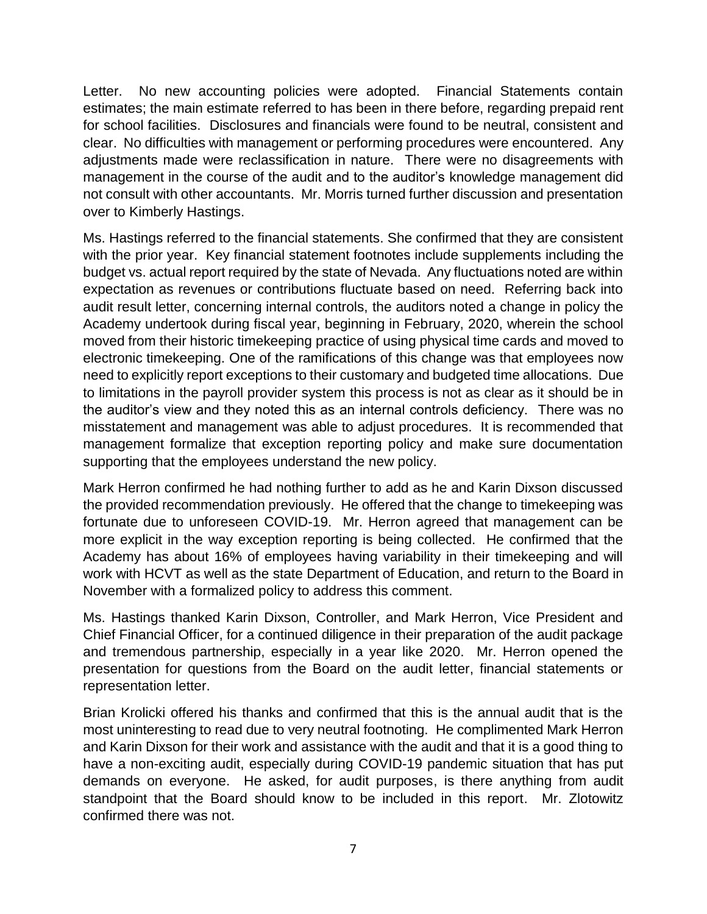Letter. No new accounting policies were adopted. Financial Statements contain estimates; the main estimate referred to has been in there before, regarding prepaid rent for school facilities. Disclosures and financials were found to be neutral, consistent and clear. No difficulties with management or performing procedures were encountered. Any adjustments made were reclassification in nature. There were no disagreements with management in the course of the audit and to the auditor's knowledge management did not consult with other accountants. Mr. Morris turned further discussion and presentation over to Kimberly Hastings.

Ms. Hastings referred to the financial statements. She confirmed that they are consistent with the prior year. Key financial statement footnotes include supplements including the budget vs. actual report required by the state of Nevada. Any fluctuations noted are within expectation as revenues or contributions fluctuate based on need. Referring back into audit result letter, concerning internal controls, the auditors noted a change in policy the Academy undertook during fiscal year, beginning in February, 2020, wherein the school moved from their historic timekeeping practice of using physical time cards and moved to electronic timekeeping. One of the ramifications of this change was that employees now need to explicitly report exceptions to their customary and budgeted time allocations. Due to limitations in the payroll provider system this process is not as clear as it should be in the auditor's view and they noted this as an internal controls deficiency. There was no misstatement and management was able to adjust procedures. It is recommended that management formalize that exception reporting policy and make sure documentation supporting that the employees understand the new policy.

Mark Herron confirmed he had nothing further to add as he and Karin Dixson discussed the provided recommendation previously. He offered that the change to timekeeping was fortunate due to unforeseen COVID-19. Mr. Herron agreed that management can be more explicit in the way exception reporting is being collected. He confirmed that the Academy has about 16% of employees having variability in their timekeeping and will work with HCVT as well as the state Department of Education, and return to the Board in November with a formalized policy to address this comment.

Ms. Hastings thanked Karin Dixson, Controller, and Mark Herron, Vice President and Chief Financial Officer, for a continued diligence in their preparation of the audit package and tremendous partnership, especially in a year like 2020. Mr. Herron opened the presentation for questions from the Board on the audit letter, financial statements or representation letter.

Brian Krolicki offered his thanks and confirmed that this is the annual audit that is the most uninteresting to read due to very neutral footnoting. He complimented Mark Herron and Karin Dixson for their work and assistance with the audit and that it is a good thing to have a non-exciting audit, especially during COVID-19 pandemic situation that has put demands on everyone. He asked, for audit purposes, is there anything from audit standpoint that the Board should know to be included in this report. Mr. Zlotowitz confirmed there was not.